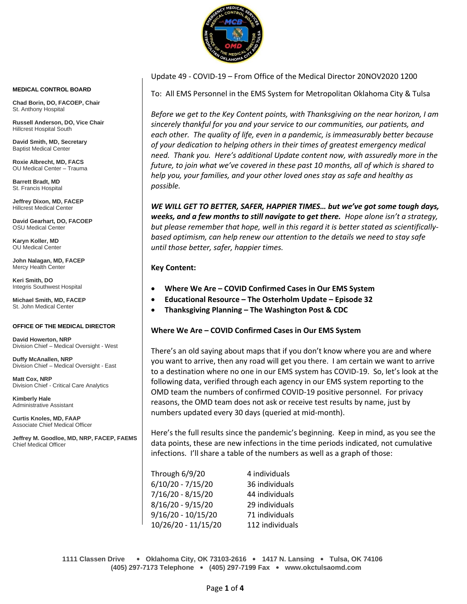

Update 49 - COVID-19 – From Office of the Medical Director 20NOV2020 1200

To: All EMS Personnel in the EMS System for Metropolitan Oklahoma City & Tulsa

*Before we get to the Key Content points, with Thanksgiving on the near horizon, I am sincerely thankful for you and your service to our communities, our patients, and each other. The quality of life, even in a pandemic, is immeasurably better because of your dedication to helping others in their times of greatest emergency medical need. Thank you. Here's additional Update content now, with assuredly more in the future, to join what we've covered in these past 10 months, all of which is shared to help you, your families, and your other loved ones stay as safe and healthy as possible.*

*WE WILL GET TO BETTER, SAFER, HAPPIER TIMES… but we've got some tough days, weeks, and a few months to still navigate to get there. Hope alone isn't a strategy, but please remember that hope, well in this regard it is better stated as scientificallybased optimism, can help renew our attention to the details we need to stay safe until those better, safer, happier times.*

# **Key Content:**

- **Where We Are – COVID Confirmed Cases in Our EMS System**
- **Educational Resource – The Osterholm Update – Episode 32**
- **Thanksgiving Planning – The Washington Post & CDC**

# **Where We Are – COVID Confirmed Cases in Our EMS System**

There's an old saying about maps that if you don't know where you are and where you want to arrive, then any road will get you there. I am certain we want to arrive to a destination where no one in our EMS system has COVID-19. So, let's look at the following data, verified through each agency in our EMS system reporting to the OMD team the numbers of confirmed COVID-19 positive personnel. For privacy reasons, the OMD team does not ask or receive test results by name, just by numbers updated every 30 days (queried at mid-month).

Here's the full results since the pandemic's beginning. Keep in mind, as you see the data points, these are new infections in the time periods indicated, not cumulative infections. I'll share a table of the numbers as well as a graph of those:

| Through 6/9/20      | 4 individuals   |  |
|---------------------|-----------------|--|
| 6/10/20 - 7/15/20   | 36 individuals  |  |
| 7/16/20 - 8/15/20   | 44 individuals  |  |
| 8/16/20 - 9/15/20   | 29 individuals  |  |
| 9/16/20 - 10/15/20  | 71 individuals  |  |
| 10/26/20 - 11/15/20 | 112 individuals |  |

**1111 Classen Drive** • **Oklahoma City, OK 73103-2616** • **1417 N. Lansing** • **Tulsa, OK 74106 (405) 297-7173 Telephone** • **(405) 297-7199 Fax** • **www.okctulsaomd.com**

#### **MEDICAL CONTROL BOARD**

**Chad Borin, DO, FACOEP, Chair**  St. Anthony Hospital

**Russell Anderson, DO, Vice Chair** Hillcrest Hospital South

**David Smith, MD, Secretary** Baptist Medical Center

**Roxie Albrecht, MD, FACS** OU Medical Center – Trauma

**Barrett Bradt, MD** St. Francis Hospital

**Jeffrey Dixon, MD, FACEP** Hillcrest Medical Center

**David Gearhart, DO, FACOEP** OSU Medical Center

**Karyn Koller, MD** OU Medical Center

**John Nalagan, MD, FACEP** Mercy Health Center

**Keri Smith, DO** Integris Southwest Hospital

**Michael Smith, MD, FACEP** St. John Medical Center

### **OFFICE OF THE MEDICAL DIRECTOR**

**David Howerton, NRP** Division Chief – Medical Oversight - West

**Duffy McAnallen, NRP** Division Chief – Medical Oversight - East

**Matt Cox, NRP** Division Chief - Critical Care Analytics

**Kimberly Hale** Administrative Assistant

**Curtis Knoles, MD, FAAP** Associate Chief Medical Officer

**Jeffrey M. Goodloe, MD, NRP, FACEP, FAEMS** Chief Medical Officer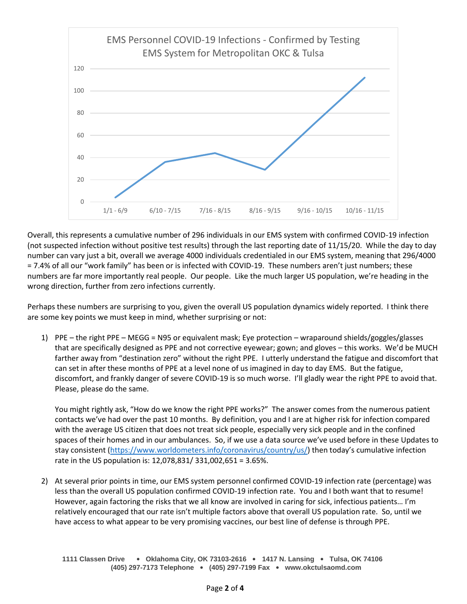

Overall, this represents a cumulative number of 296 individuals in our EMS system with confirmed COVID-19 infection (not suspected infection without positive test results) through the last reporting date of 11/15/20. While the day to day number can vary just a bit, overall we average 4000 individuals credentialed in our EMS system, meaning that 296/4000 = 7.4% of all our "work family" has been or is infected with COVID-19. These numbers aren't just numbers; these numbers are far more importantly real people. Our people. Like the much larger US population, we're heading in the wrong direction, further from zero infections currently.

Perhaps these numbers are surprising to you, given the overall US population dynamics widely reported. I think there are some key points we must keep in mind, whether surprising or not:

1) PPE – the right PPE – MEGG = N95 or equivalent mask; Eye protection – wraparound shields/goggles/glasses that are specifically designed as PPE and not corrective eyewear; gown; and gloves – this works. We'd be MUCH farther away from "destination zero" without the right PPE. I utterly understand the fatigue and discomfort that can set in after these months of PPE at a level none of us imagined in day to day EMS. But the fatigue, discomfort, and frankly danger of severe COVID-19 is so much worse. I'll gladly wear the right PPE to avoid that. Please, please do the same.

You might rightly ask, "How do we know the right PPE works?" The answer comes from the numerous patient contacts we've had over the past 10 months. By definition, you and I are at higher risk for infection compared with the average US citizen that does not treat sick people, especially very sick people and in the confined spaces of their homes and in our ambulances. So, if we use a data source we've used before in these Updates to stay consistent [\(https://www.worldometers.info/coronavirus/country/us/](https://www.worldometers.info/coronavirus/country/us/)) then today's cumulative infection rate in the US population is: 12,078,831/ 331,002,651 = 3.65%.

2) At several prior points in time, our EMS system personnel confirmed COVID-19 infection rate (percentage) was less than the overall US population confirmed COVID-19 infection rate. You and I both want that to resume! However, again factoring the risks that we all know are involved in caring for sick, infectious patients… I'm relatively encouraged that our rate isn't multiple factors above that overall US population rate. So, until we have access to what appear to be very promising vaccines, our best line of defense is through PPE.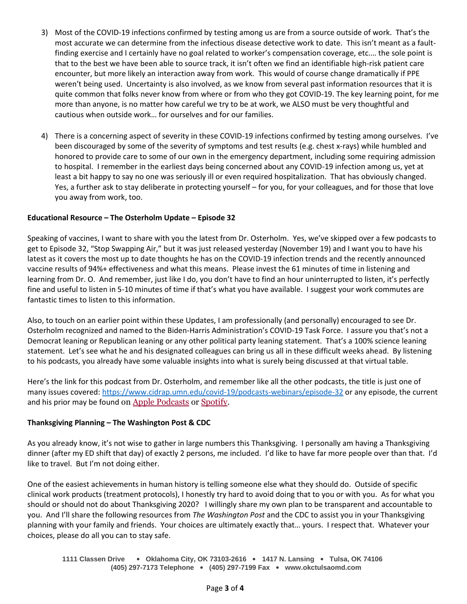- 3) Most of the COVID-19 infections confirmed by testing among us are from a source outside of work. That's the most accurate we can determine from the infectious disease detective work to date. This isn't meant as a faultfinding exercise and I certainly have no goal related to worker's compensation coverage, etc.… the sole point is that to the best we have been able to source track, it isn't often we find an identifiable high-risk patient care encounter, but more likely an interaction away from work. This would of course change dramatically if PPE weren't being used. Uncertainty is also involved, as we know from several past information resources that it is quite common that folks never know from where or from who they got COVID-19. The key learning point, for me more than anyone, is no matter how careful we try to be at work, we ALSO must be very thoughtful and cautious when outside work… for ourselves and for our families.
- 4) There is a concerning aspect of severity in these COVID-19 infections confirmed by testing among ourselves. I've been discouraged by some of the severity of symptoms and test results (e.g. chest x-rays) while humbled and honored to provide care to some of our own in the emergency department, including some requiring admission to hospital. I remember in the earliest days being concerned about any COVID-19 infection among us, yet at least a bit happy to say no one was seriously ill or even required hospitalization. That has obviously changed. Yes, a further ask to stay deliberate in protecting yourself – for you, for your colleagues, and for those that love you away from work, too.

# **Educational Resource – The Osterholm Update – Episode 32**

Speaking of vaccines, I want to share with you the latest from Dr. Osterholm. Yes, we've skipped over a few podcasts to get to Episode 32, "Stop Swapping Air," but it was just released yesterday (November 19) and I want you to have his latest as it covers the most up to date thoughts he has on the COVID-19 infection trends and the recently announced vaccine results of 94%+ effectiveness and what this means. Please invest the 61 minutes of time in listening and learning from Dr. O. And remember, just like I do, you don't have to find an hour uninterrupted to listen, it's perfectly fine and useful to listen in 5-10 minutes of time if that's what you have available. I suggest your work commutes are fantastic times to listen to this information.

Also, to touch on an earlier point within these Updates, I am professionally (and personally) encouraged to see Dr. Osterholm recognized and named to the Biden-Harris Administration's COVID-19 Task Force. I assure you that's not a Democrat leaning or Republican leaning or any other political party leaning statement. That's a 100% science leaning statement. Let's see what he and his designated colleagues can bring us all in these difficult weeks ahead. By listening to his podcasts, you already have some valuable insights into what is surely being discussed at that virtual table.

Here's the link for this podcast from Dr. Osterholm, and remember like all the other podcasts, the title is just one of many issues covered:<https://www.cidrap.umn.edu/covid-19/podcasts-webinars/episode-32> or any episode, the current and his prior may be found on [Apple Podcasts](https://podcasts.apple.com/us/podcast/the-osterholm-update-covid-19/id1504360345) or [Spotify.](https://open.spotify.com/show/0ymlroFYVlSAnoq0uqECGx)

# **Thanksgiving Planning – The Washington Post & CDC**

As you already know, it's not wise to gather in large numbers this Thanksgiving. I personally am having a Thanksgiving dinner (after my ED shift that day) of exactly 2 persons, me included. I'd like to have far more people over than that. I'd like to travel. But I'm not doing either.

One of the easiest achievements in human history is telling someone else what they should do. Outside of specific clinical work products (treatment protocols), I honestly try hard to avoid doing that to you or with you. As for what you should or should not do about Thanksgiving 2020? I willingly share my own plan to be transparent and accountable to you. And I'll share the following resources from *The Washington Post* and the CDC to assist you in your Thanksgiving planning with your family and friends. Your choices are ultimately exactly that… yours. I respect that. Whatever your choices, please do all you can to stay safe.